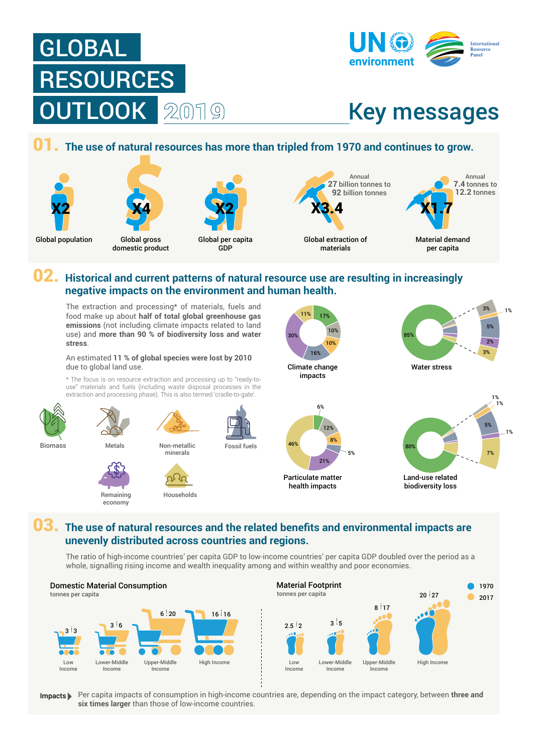





#### 01. **The use of natural resources has more than tripled from 1970 and continues to grow.**





Global gross domestic product Global per capita GDP

X2

Global population Global gross Global per capita Global extraction of materials **X4** X2 X3.4

Annual **27** billion tonnes to **92** billion tonnes

> Material demand X1.7

Annual **7.4** tonnes to **12.2** tonnes

per capita

## 02. **Historical and current patterns of natural resource use are resulting in increasingly negative impacts on the environment and human health.**

The extraction and processing\* of materials, fuels and food make up about **half of total global greenhouse gas emissions** (not including climate impacts related to land use) and **more than 90 % of biodiversity loss and water stress**.

#### An estimated **11 % of global species were lost by 2010** due to global land use.

\* The focus is on resource extraction and processing up to "ready-touse" materials and fuels (including waste disposal processes in the extraction and processing phase). This is also termed 'cradle-to-gate'.



Remaining economy



Climate change impacts 10% 16%

11%

30%

17% 10%



Water stress 85% 3% 5% 2% 1% 3%



biodiversity loss

# 03. **The use of natural resources and the related benefits and environmental impacts are unevenly distributed across countries and regions.**

The ratio of high-income countries' per capita GDP to low-income countries' per capita GDP doubled over the period as a whole, signalling rising income and wealth inequality among and within wealthy and poor economies.



Per capita impacts of consumption in high-income countries are, depending on the impact category, between **three and**  Impacts **six times larger** than those of low-income countries.